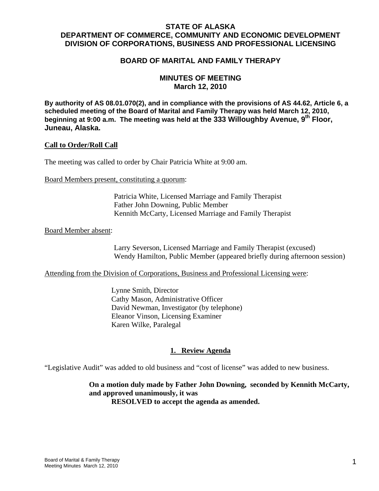## **STATE OF ALASKA DEPARTMENT OF COMMERCE, COMMUNITY AND ECONOMIC DEVELOPMENT DIVISION OF CORPORATIONS, BUSINESS AND PROFESSIONAL LICENSING**

### **BOARD OF MARITAL AND FAMILY THERAPY**

### **MINUTES OF MEETING March 12, 2010**

**By authority of AS 08.01.070(2), and in compliance with the provisions of AS 44.62, Article 6, a scheduled meeting of the Board of Marital and Family Therapy was held March 12, 2010, beginning at 9:00 a.m. The meeting was held at the 333 Willoughby Avenue, 9th Floor, Juneau, Alaska.**

#### **Call to Order/Roll Call**

The meeting was called to order by Chair Patricia White at 9:00 am.

Board Members present, constituting a quorum:

 Patricia White, Licensed Marriage and Family Therapist Father John Downing, Public Member Kennith McCarty, Licensed Marriage and Family Therapist

#### Board Member absent:

 Larry Severson, Licensed Marriage and Family Therapist (excused) Wendy Hamilton, Public Member (appeared briefly during afternoon session)

Attending from the Division of Corporations, Business and Professional Licensing were:

 Lynne Smith, Director Cathy Mason, Administrative Officer David Newman, Investigator (by telephone) Eleanor Vinson, Licensing Examiner Karen Wilke, Paralegal

#### **1. Review Agenda**

"Legislative Audit" was added to old business and "cost of license" was added to new business.

**On a motion duly made by Father John Downing, seconded by Kennith McCarty, and approved unanimously, it was RESOLVED to accept the agenda as amended.**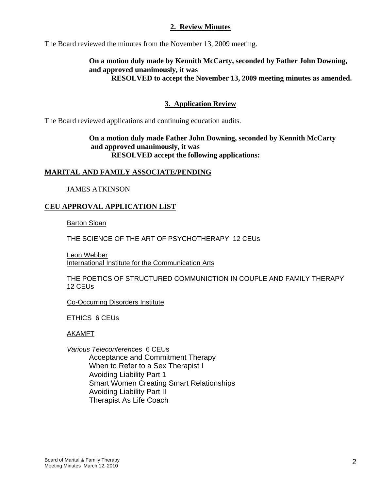### **2. Review Minutes**

The Board reviewed the minutes from the November 13, 2009 meeting.

#### **On a motion duly made by Kennith McCarty, seconded by Father John Downing, and approved unanimously, it was RESOLVED to accept the November 13, 2009 meeting minutes as amended.**

## **3. Application Review**

The Board reviewed applications and continuing education audits.

### **On a motion duly made Father John Downing, seconded by Kennith McCarty and approved unanimously, it was RESOLVED accept the following applications:**

#### **MARITAL AND FAMILY ASSOCIATE/PENDING**

JAMES ATKINSON

### **CEU APPROVAL APPLICATION LIST**

Barton Sloan

THE SCIENCE OF THE ART OF PSYCHOTHERAPY 12 CEUs

Leon Webber International Institute for the Communication Arts

 THE POETICS OF STRUCTURED COMMUNICTION IN COUPLE AND FAMILY THERAPY 12 CEUs

Co-Occurring Disorders Institute

ETHICS 6 CEUs

AKAMFT

*Various Teleconferen*ces 6 CEUs Acceptance and Commitment Therapy When to Refer to a Sex Therapist I Avoiding Liability Part 1 Smart Women Creating Smart Relationships Avoiding Liability Part II Therapist As Life Coach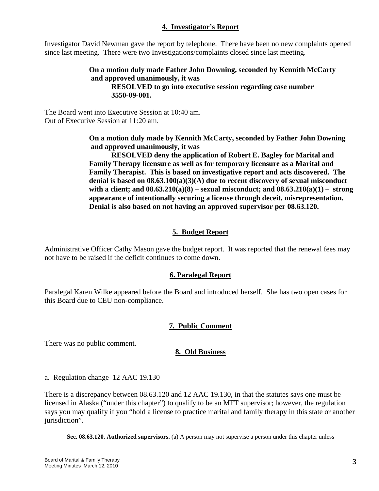## **4. Investigator's Report**

Investigator David Newman gave the report by telephone. There have been no new complaints opened since last meeting. There were two Investigations/complaints closed since last meeting.

> **On a motion duly made Father John Downing, seconded by Kennith McCarty and approved unanimously, it was RESOLVED to go into executive session regarding case number 3550-09-001.**

The Board went into Executive Session at 10:40 am. Out of Executive Session at 11:20 am.

> **On a motion duly made by Kennith McCarty, seconded by Father John Downing and approved unanimously, it was**

**RESOLVED deny the application of Robert E. Bagley for Marital and Family Therapy licensure as well as for temporary licensure as a Marital and Family Therapist. This is based on investigative report and acts discovered. The denial is based on 08.63.100(a)(3)(A) due to recent discovery of sexual misconduct with a client; and 08.63.210(a)(8) – sexual misconduct; and 08.63.210(a)(1) – strong appearance of intentionally securing a license through deceit, misrepresentation. Denial is also based on not having an approved supervisor per 08.63.120.** 

# **5. Budget Report**

Administrative Officer Cathy Mason gave the budget report. It was reported that the renewal fees may not have to be raised if the deficit continues to come down.

## **6. Paralegal Report**

Paralegal Karen Wilke appeared before the Board and introduced herself. She has two open cases for this Board due to CEU non-compliance.

## **7. Public Comment**

There was no public comment.

## **8. Old Business**

#### a. Regulation change 12 AAC 19.130

There is a discrepancy between 08.63.120 and 12 AAC 19.130, in that the statutes says one must be licensed in Alaska ("under this chapter") to qualify to be an MFT supervisor; however, the regulation says you may qualify if you "hold a license to practice marital and family therapy in this state or another jurisdiction".

**Sec. 08.63.120. Authorized supervisors.** (a) A person may not supervise a person under this chapter unless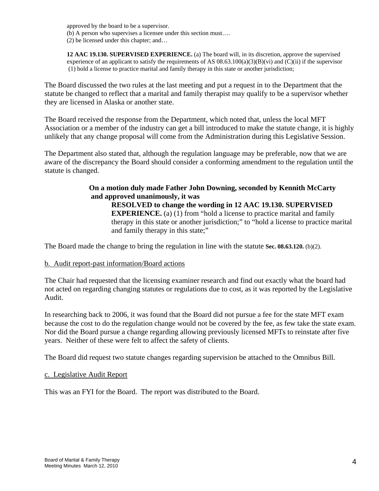approved by the board to be a supervisor. (b) A person who supervises a licensee under this section must…. (2) be licensed under this chapter; and…

**12 AAC 19.130. SUPERVISED EXPERIENCE.** (a) The board will, in its discretion, approve the supervised experience of an applicant to satisfy the requirements of AS  $08.63.100(a)(3)(B)(vi)$  and  $(C)(ii)$  if the supervisor (1) hold a license to practice marital and family therapy in this state or another jurisdiction;

The Board discussed the two rules at the last meeting and put a request in to the Department that the statute be changed to reflect that a marital and family therapist may qualify to be a supervisor whether they are licensed in Alaska or another state.

The Board received the response from the Department, which noted that, unless the local MFT Association or a member of the industry can get a bill introduced to make the statute change, it is highly unlikely that any change proposal will come from the Administration during this Legislative Session.

The Department also stated that, although the regulation language may be preferable, now that we are aware of the discrepancy the Board should consider a conforming amendment to the regulation until the statute is changed.

> **On a motion duly made Father John Downing, seconded by Kennith McCarty and approved unanimously, it was RESOLVED to change the wording in 12 AAC 19.130. SUPERVISED EXPERIENCE.** (a) (1) from "hold a license to practice marital and family therapy in this state or another jurisdiction;" to "hold a license to practice marital and family therapy in this state;"

The Board made the change to bring the regulation in line with the statute **Sec. 08.63.120.** (b)(2).

#### b. Audit report-past information/Board actions

The Chair had requested that the licensing examiner research and find out exactly what the board had not acted on regarding changing statutes or regulations due to cost, as it was reported by the Legislative Audit.

In researching back to 2006, it was found that the Board did not pursue a fee for the state MFT exam because the cost to do the regulation change would not be covered by the fee, as few take the state exam. Nor did the Board pursue a change regarding allowing previously licensed MFTs to reinstate after five years. Neither of these were felt to affect the safety of clients.

The Board did request two statute changes regarding supervision be attached to the Omnibus Bill.

#### c. Legislative Audit Report

This was an FYI for the Board. The report was distributed to the Board.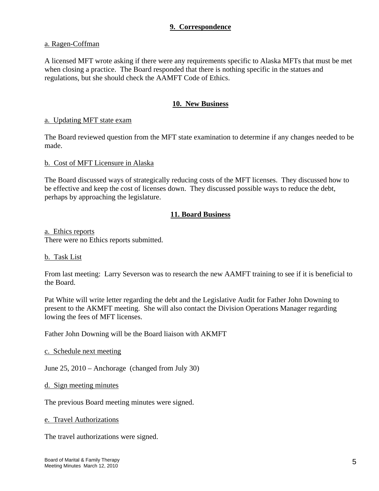### **9. Correspondence**

#### a. Ragen-Coffman

A licensed MFT wrote asking if there were any requirements specific to Alaska MFTs that must be met when closing a practice. The Board responded that there is nothing specific in the statues and regulations, but she should check the AAMFT Code of Ethics.

## **10. New Business**

#### a. Updating MFT state exam

The Board reviewed question from the MFT state examination to determine if any changes needed to be made.

#### b. Cost of MFT Licensure in Alaska

The Board discussed ways of strategically reducing costs of the MFT licenses. They discussed how to be effective and keep the cost of licenses down. They discussed possible ways to reduce the debt, perhaps by approaching the legislature.

## **11. Board Business**

a. Ethics reports There were no Ethics reports submitted.

#### b. Task List

From last meeting: Larry Severson was to research the new AAMFT training to see if it is beneficial to the Board.

Pat White will write letter regarding the debt and the Legislative Audit for Father John Downing to present to the AKMFT meeting. She will also contact the Division Operations Manager regarding lowing the fees of MFT licenses.

Father John Downing will be the Board liaison with AKMFT

c. Schedule next meeting

June 25, 2010 – Anchorage (changed from July 30)

d. Sign meeting minutes

The previous Board meeting minutes were signed.

#### e. Travel Authorizations

The travel authorizations were signed.